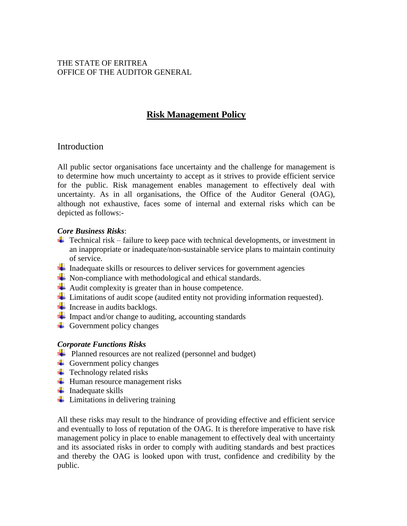## THE STATE OF ERITREA OFFICE OF THE AUDITOR GENERAL

# **Risk Management Policy**

# Introduction

All public sector organisations face uncertainty and the challenge for management is to determine how much uncertainty to accept as it strives to provide efficient service for the public. Risk management enables management to effectively deal with uncertainty. As in all organisations, the Office of the Auditor General (OAG), although not exhaustive, faces some of internal and external risks which can be depicted as follows:-

### *Core Business Risks*:

- $\ddot{\phantom{1}}$  Technical risk failure to keep pace with technical developments, or investment in an inappropriate or inadequate/non-sustainable service plans to maintain continuity of service.
- <sup>1</sup> Inadequate skills or resources to deliver services for government agencies
- Non-compliance with methodological and ethical standards.
- Audit complexity is greater than in house competence.
- $\perp$  Limitations of audit scope (audited entity not providing information requested).
- $\blacksquare$  Increase in audits backlogs.
- $\blacksquare$  Impact and/or change to auditing, accounting standards
- $\overline{\phantom{a}}$  Government policy changes

## *Corporate Functions Risks*

- Planned resources are not realized (personnel and budget)
- $\overline{\phantom{a}}$  Government policy changes
- $\leftarrow$  Technology related risks
- $\ddot{\text{H}}$  Human resource management risks
- $\ddagger$  Inadequate skills
- $\ddot{\phantom{a}}$  Limitations in delivering training

All these risks may result to the hindrance of providing effective and efficient service and eventually to loss of reputation of the OAG. It is therefore imperative to have risk management policy in place to enable management to effectively deal with uncertainty and its associated risks in order to comply with auditing standards and best practices and thereby the OAG is looked upon with trust, confidence and credibility by the public.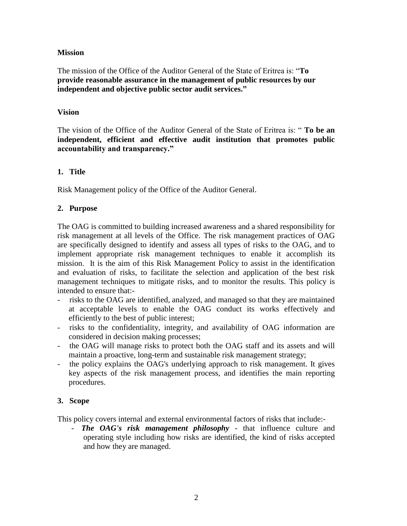#### **Mission**

The mission of the Office of the Auditor General of the State of Eritrea is: "**To provide reasonable assurance in the management of public resources by our independent and objective public sector audit services."**

### **Vision**

The vision of the Office of the Auditor General of the State of Eritrea is: " **To be an independent, efficient and effective audit institution that promotes public accountability and transparency."** 

## **1. Title**

Risk Management policy of the Office of the Auditor General.

# **2. Purpose**

The OAG is committed to building increased awareness and a shared responsibility for risk management at all levels of the Office. The risk management practices of OAG are specifically designed to identify and assess all types of risks to the OAG, and to implement appropriate risk management techniques to enable it accomplish its mission. It is the aim of this Risk Management Policy to assist in the identification and evaluation of risks, to facilitate the selection and application of the best risk management techniques to mitigate risks, and to monitor the results. This policy is intended to ensure that:-

- risks to the OAG are identified, analyzed, and managed so that they are maintained at acceptable levels to enable the OAG conduct its works effectively and efficiently to the best of public interest;
- risks to the confidentiality, integrity, and availability of OAG information are considered in decision making processes;
- the OAG will manage risks to protect both the OAG staff and its assets and will maintain a proactive, long-term and sustainable risk management strategy;
- the policy explains the OAG's underlying approach to risk management. It gives key aspects of the risk management process, and identifies the main reporting procedures.

## **3. Scope**

This policy covers internal and external environmental factors of risks that include:-

The OAG's risk management philosophy - that influence culture and operating style including how risks are identified, the kind of risks accepted and how they are managed.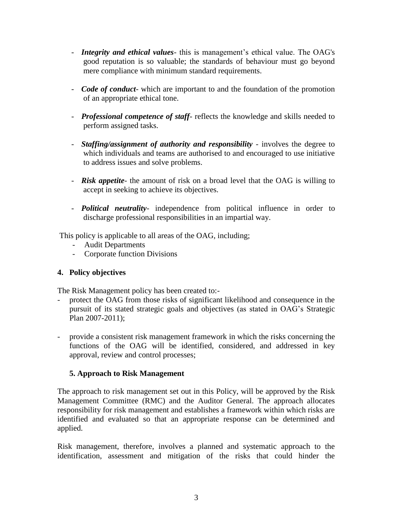- *Integrity and ethical values* this is management's ethical value. The OAG's good reputation is so valuable; the standards of behaviour must go beyond mere compliance with minimum standard requirements.
- *Code of conduct* which are important to and the foundation of the promotion of an appropriate ethical tone.
- *Professional competence of staff* reflects the knowledge and skills needed to perform assigned tasks.
- *Staffing/assignment of authority and responsibility* involves the degree to which individuals and teams are authorised to and encouraged to use initiative to address issues and solve problems.
- *Risk appetite* the amount of risk on a broad level that the OAG is willing to accept in seeking to achieve its objectives.
- *Political neutrality* independence from political influence in order to discharge professional responsibilities in an impartial way.

This policy is applicable to all areas of the OAG, including;

- Audit Departments
- Corporate function Divisions

## **4. Policy objectives**

The Risk Management policy has been created to:-

- protect the OAG from those risks of significant likelihood and consequence in the pursuit of its stated strategic goals and objectives (as stated in OAG's Strategic Plan 2007-2011);
- provide a consistent risk management framework in which the risks concerning the functions of the OAG will be identified, considered, and addressed in key approval, review and control processes;

## **5. Approach to Risk Management**

The approach to risk management set out in this Policy, will be approved by the Risk Management Committee (RMC) and the Auditor General. The approach allocates responsibility for risk management and establishes a framework within which risks are identified and evaluated so that an appropriate response can be determined and applied.

Risk management, therefore, involves a planned and systematic approach to the identification, assessment and mitigation of the risks that could hinder the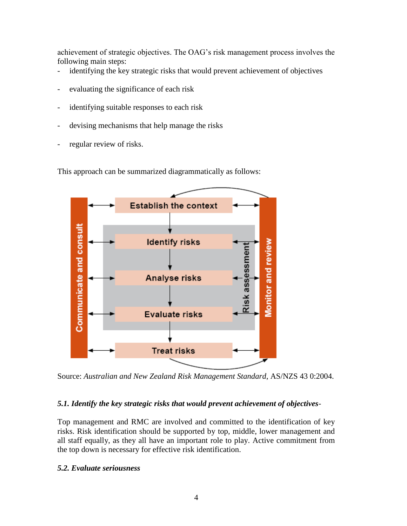achievement of strategic objectives. The OAG's risk management process involves the following main steps:

- identifying the key strategic risks that would prevent achievement of objectives
- evaluating the significance of each risk
- identifying suitable responses to each risk
- devising mechanisms that help manage the risks
- regular review of risks.

This approach can be summarized diagrammatically as follows:



Source: *Australian and New Zealand Risk Management Standard*, AS/NZS 43 0:2004.

#### *5.1. Identify the key strategic risks that would prevent achievement of objectives*-

Top management and RMC are involved and committed to the identification of key risks. Risk identification should be supported by top, middle, lower management and all staff equally, as they all have an important role to play. Active commitment from the top down is necessary for effective risk identification.

#### *5.2. Evaluate seriousness*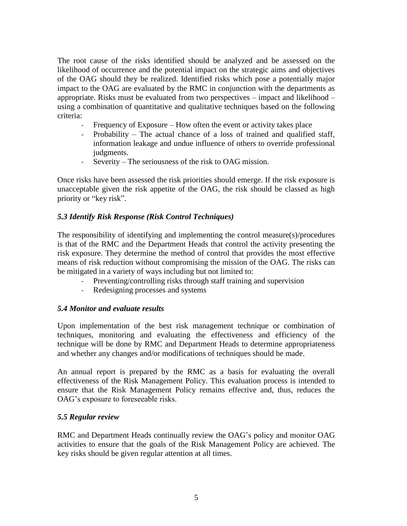The root cause of the risks identified should be analyzed and be assessed on the likelihood of occurrence and the potential impact on the strategic aims and objectives of the OAG should they be realized. Identified risks which pose a potentially major impact to the OAG are evaluated by the RMC in conjunction with the departments as appropriate. Risks must be evaluated from two perspectives – impact and likelihood – using a combination of quantitative and qualitative techniques based on the following criteria:

- Frequency of Exposure How often the event or activity takes place
- Probability The actual chance of a loss of trained and qualified staff, information leakage and undue influence of others to override professional judgments.
- Severity The seriousness of the risk to OAG mission.

Once risks have been assessed the risk priorities should emerge. If the risk exposure is unacceptable given the risk appetite of the OAG, the risk should be classed as high priority or "key risk".

## *5.3 Identify Risk Response (Risk Control Techniques)*

The responsibility of identifying and implementing the control measure(s)/procedures is that of the RMC and the Department Heads that control the activity presenting the risk exposure. They determine the method of control that provides the most effective means of risk reduction without compromising the mission of the OAG. The risks can be mitigated in a variety of ways including but not limited to:

- Preventing/controlling risks through staff training and supervision
- Redesigning processes and systems

#### *5.4 Monitor and evaluate results*

Upon implementation of the best risk management technique or combination of techniques, monitoring and evaluating the effectiveness and efficiency of the technique will be done by RMC and Department Heads to determine appropriateness and whether any changes and/or modifications of techniques should be made.

An annual report is prepared by the RMC as a basis for evaluating the overall effectiveness of the Risk Management Policy. This evaluation process is intended to ensure that the Risk Management Policy remains effective and, thus, reduces the OAG's exposure to foreseeable risks.

#### *5.5 Regular review*

RMC and Department Heads continually review the OAG's policy and monitor OAG activities to ensure that the goals of the Risk Management Policy are achieved. The key risks should be given regular attention at all times.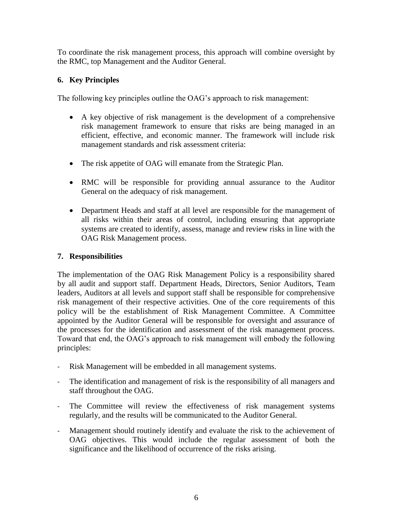To coordinate the risk management process, this approach will combine oversight by the RMC, top Management and the Auditor General.

# **6. Key Principles**

The following key principles outline the OAG's approach to risk management:

- A key objective of risk management is the development of a comprehensive risk management framework to ensure that risks are being managed in an efficient, effective, and economic manner. The framework will include risk management standards and risk assessment criteria:
- The risk appetite of OAG will emanate from the Strategic Plan.
- RMC will be responsible for providing annual assurance to the Auditor General on the adequacy of risk management.
- Department Heads and staff at all level are responsible for the management of all risks within their areas of control, including ensuring that appropriate systems are created to identify, assess, manage and review risks in line with the OAG Risk Management process.

# **7. Responsibilities**

The implementation of the OAG Risk Management Policy is a responsibility shared by all audit and support staff. Department Heads, Directors, Senior Auditors, Team leaders, Auditors at all levels and support staff shall be responsible for comprehensive risk management of their respective activities. One of the core requirements of this policy will be the establishment of Risk Management Committee. A Committee appointed by the Auditor General will be responsible for oversight and assurance of the processes for the identification and assessment of the risk management process. Toward that end, the OAG's approach to risk management will embody the following principles:

- Risk Management will be embedded in all management systems.
- The identification and management of risk is the responsibility of all managers and staff throughout the OAG.
- The Committee will review the effectiveness of risk management systems regularly, and the results will be communicated to the Auditor General.
- Management should routinely identify and evaluate the risk to the achievement of OAG objectives. This would include the regular assessment of both the significance and the likelihood of occurrence of the risks arising.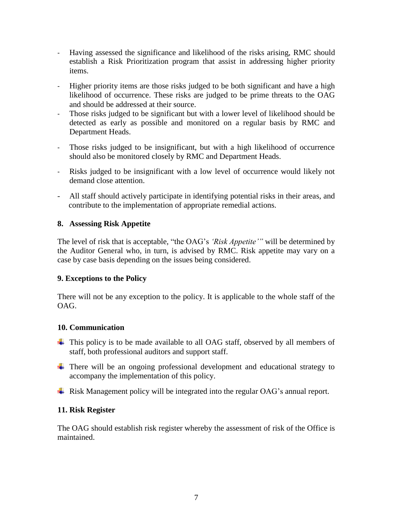- Having assessed the significance and likelihood of the risks arising, RMC should establish a Risk Prioritization program that assist in addressing higher priority items.
- Higher priority items are those risks judged to be both significant and have a high likelihood of occurrence. These risks are judged to be prime threats to the OAG and should be addressed at their source.
- Those risks judged to be significant but with a lower level of likelihood should be detected as early as possible and monitored on a regular basis by RMC and Department Heads.
- Those risks judged to be insignificant, but with a high likelihood of occurrence should also be monitored closely by RMC and Department Heads.
- Risks judged to be insignificant with a low level of occurrence would likely not demand close attention.
- All staff should actively participate in identifying potential risks in their areas, and contribute to the implementation of appropriate remedial actions.

### **8. Assessing Risk Appetite**

The level of risk that is acceptable, "the OAG's *'Risk Appetite'"* will be determined by the Auditor General who, in turn, is advised by RMC. Risk appetite may vary on a case by case basis depending on the issues being considered.

## **9. Exceptions to the Policy**

There will not be any exception to the policy. It is applicable to the whole staff of the OAG.

#### **10. Communication**

- This policy is to be made available to all OAG staff, observed by all members of staff, both professional auditors and support staff.
- There will be an ongoing professional development and educational strategy to accompany the implementation of this policy.
- $\overline{\phantom{a}}$  Risk Management policy will be integrated into the regular OAG's annual report.

## **11. Risk Register**

The OAG should establish risk register whereby the assessment of risk of the Office is maintained.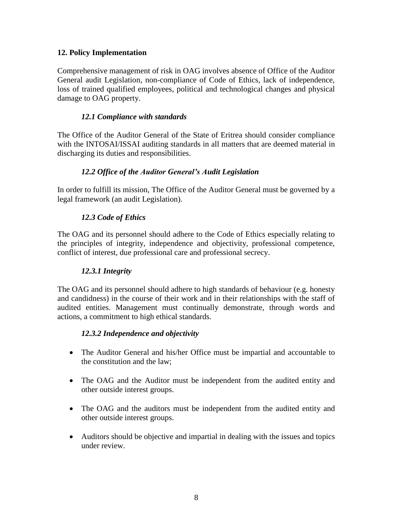## **12. Policy Implementation**

Comprehensive management of risk in OAG involves absence of Office of the Auditor General audit Legislation, non-compliance of Code of Ethics, lack of independence, loss of trained qualified employees, political and technological changes and physical damage to OAG property.

## *12.1 Compliance with standards*

The Office of the Auditor General of the State of Eritrea should consider compliance with the INTOSAI/ISSAI auditing standards in all matters that are deemed material in discharging its duties and responsibilities.

### *12.2 Office of the Auditor General's Audit Legislation*

In order to fulfill its mission, The Office of the Auditor General must be governed by a legal framework (an audit Legislation).

## *12.3 Code of Ethics*

The OAG and its personnel should adhere to the Code of Ethics especially relating to the principles of integrity, independence and objectivity, professional competence, conflict of interest, due professional care and professional secrecy.

#### *12.3.1 Integrity*

The OAG and its personnel should adhere to high standards of behaviour (e.g. honesty and candidness) in the course of their work and in their relationships with the staff of audited entities. Management must continually demonstrate, through words and actions, a commitment to high ethical standards.

#### *12.3.2 Independence and objectivity*

- The Auditor General and his/her Office must be impartial and accountable to the constitution and the law;
- The OAG and the Auditor must be independent from the audited entity and other outside interest groups.
- The OAG and the auditors must be independent from the audited entity and other outside interest groups.
- Auditors should be objective and impartial in dealing with the issues and topics under review.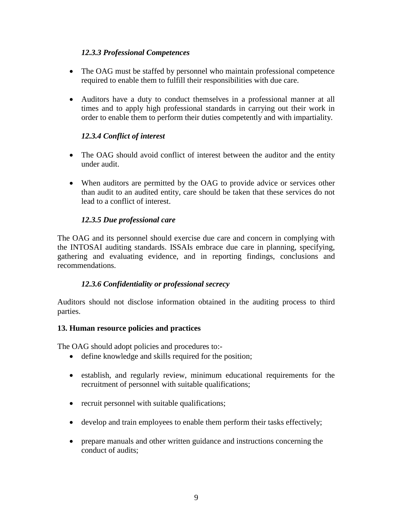# *12.3.3 Professional Competences*

- The OAG must be staffed by personnel who maintain professional competence required to enable them to fulfill their responsibilities with due care.
- Auditors have a duty to conduct themselves in a professional manner at all times and to apply high professional standards in carrying out their work in order to enable them to perform their duties competently and with impartiality.

# *12.3.4 Conflict of interest*

- The OAG should avoid conflict of interest between the auditor and the entity under audit.
- When auditors are permitted by the OAG to provide advice or services other than audit to an audited entity, care should be taken that these services do not lead to a conflict of interest.

# *12.3.5 Due professional care*

The OAG and its personnel should exercise due care and concern in complying with the INTOSAI auditing standards. ISSAIs embrace due care in planning, specifying, gathering and evaluating evidence, and in reporting findings, conclusions and recommendations.

# *12.3.6 Confidentiality or professional secrecy*

Auditors should not disclose information obtained in the auditing process to third parties.

## **13. Human resource policies and practices**

The OAG should adopt policies and procedures to:-

- define knowledge and skills required for the position;
- establish, and regularly review, minimum educational requirements for the recruitment of personnel with suitable qualifications;
- recruit personnel with suitable qualifications;
- develop and train employees to enable them perform their tasks effectively;
- prepare manuals and other written guidance and instructions concerning the conduct of audits;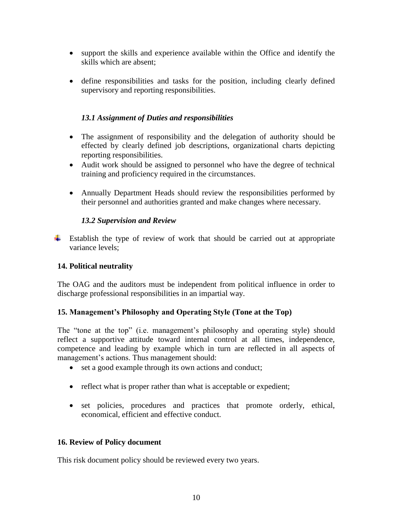- support the skills and experience available within the Office and identify the skills which are absent;
- define responsibilities and tasks for the position, including clearly defined supervisory and reporting responsibilities.

## *13.1 Assignment of Duties and responsibilities*

- The assignment of responsibility and the delegation of authority should be effected by clearly defined job descriptions, organizational charts depicting reporting responsibilities.
- Audit work should be assigned to personnel who have the degree of technical training and proficiency required in the circumstances.
- Annually Department Heads should review the responsibilities performed by their personnel and authorities granted and make changes where necessary.

## *13.2 Supervision and Review*

 $\ddot{\phantom{1}}$  Establish the type of review of work that should be carried out at appropriate variance levels;

# **14. Political neutrality**

The OAG and the auditors must be independent from political influence in order to discharge professional responsibilities in an impartial way.

## **15. Management's Philosophy and Operating Style (Tone at the Top)**

The "tone at the top" (i.e. management's philosophy and operating style) should reflect a supportive attitude toward internal control at all times, independence, competence and leading by example which in turn are reflected in all aspects of management's actions. Thus management should:

- set a good example through its own actions and conduct;
- reflect what is proper rather than what is acceptable or expedient;
- set policies, procedures and practices that promote orderly, ethical, economical, efficient and effective conduct.

## **16. Review of Policy document**

This risk document policy should be reviewed every two years.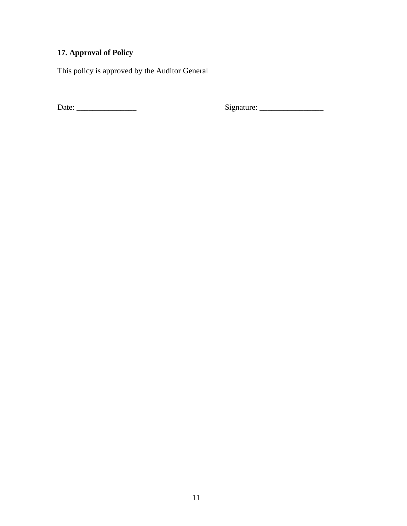# **17. Approval of Policy**

This policy is approved by the Auditor General

Date: \_\_\_\_\_\_\_\_\_\_\_\_\_\_\_ Signature: \_\_\_\_\_\_\_\_\_\_\_\_\_\_\_\_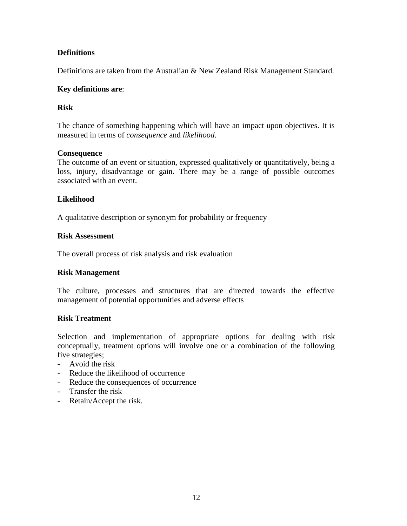## **Definitions**

Definitions are taken from the Australian & New Zealand Risk Management Standard.

#### **Key definitions are**:

### **Risk**

The chance of something happening which will have an impact upon objectives. It is measured in terms of *consequence* and *likelihood*.

#### **Consequence**

The outcome of an event or situation, expressed qualitatively or quantitatively, being a loss, injury, disadvantage or gain. There may be a range of possible outcomes associated with an event.

### **Likelihood**

A qualitative description or synonym for probability or frequency

#### **Risk Assessment**

The overall process of risk analysis and risk evaluation

#### **Risk Management**

The culture, processes and structures that are directed towards the effective management of potential opportunities and adverse effects

#### **Risk Treatment**

Selection and implementation of appropriate options for dealing with risk conceptually, treatment options will involve one or a combination of the following five strategies;

- Avoid the risk
- Reduce the likelihood of occurrence
- Reduce the consequences of occurrence
- Transfer the risk
- Retain/Accept the risk.